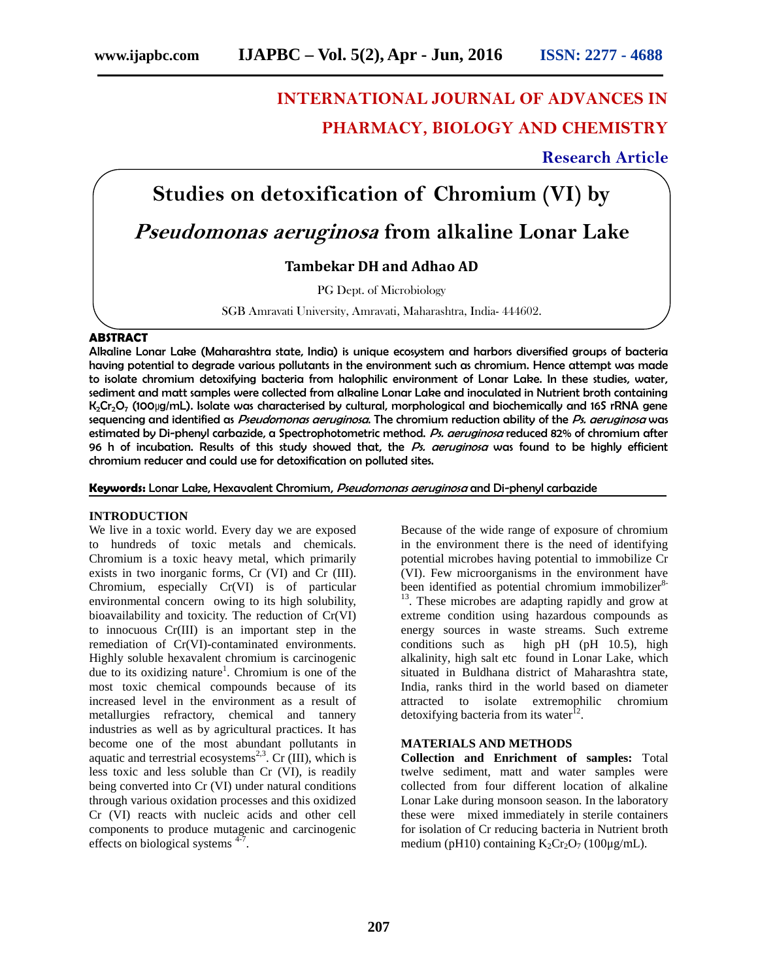# **INTERNATIONAL JOURNAL OF ADVANCES IN PHARMACY, BIOLOGY AND CHEMISTRY SERVIET AND CONSULTER STAND CONSULTER STAND CHENOMAL SOLOGY AND CHEMISTRY**<br> **STAND CHEMISTRY**<br> **Studies on detoxification of Chromium (VI) by**<br> **Seudomonas aeruginosa from alkaline Lonar Lake**

**Research Article**

## *Pseudomonas aeruginosa* **from alkaline Lonar Lake**

### **Tambekar DH and Adhao AD**

PG Dept. of Microbiology

SGB Amravati University, Amravati, Maharashtra, India- 444602.

#### **ABSTRACT**

Alkaline Lonar Lake (Maharashtra state, India) is unique ecosystem and harbors diversified groups of bacteria having potential to degrade various pollutants in the environment such as chromium. Hence attempt was made to isolate chromium detoxifying bacteria from halophilic environment of Lonar Lake. In these studies, water, sediment and matt samples were collected from alkaline Lonar Lake and inoculated in Nutrient broth containing K<sub>2</sub>Cr<sub>2</sub>O<sub>7</sub> (100μg/mL). Isolate was characterised by cultural, morphological and biochemically and 16S rRNA gene sequencing and identified as *Pseudomonas aeruginosa*. The chromium reduction ability of the *Ps. aeruginosa* was estimated by Di-phenyl carbazide, a Spectrophotometric method. *Ps. aeruginosa* reduced 82% of chromium after 96 h of incubation. Results of this study showed that, the *Ps. aeruginosa* was found to be highly efficient chromium reducer and could use for detoxification on polluted sites.

**Keywords:** Lonar Lake, Hexavalent Chromium, *Pseudomonas aeruginosa* and Di-phenyl carbazide

#### **INTRODUCTION**

We live in a toxic world. Every day we are exposed to hundreds of toxic metals and chemicals. Chromium is a toxic heavy metal, which primarily exists in two inorganic forms, Cr (VI) and Cr (III). Chromium, especially Cr(VI) is of particular environmental concern owing to its high solubility, bioavailability and toxicity. The reduction of Cr(VI) to innocuous Cr(III) is an important step in the remediation of Cr(VI)-contaminated environments. Highly soluble hexavalent chromium is carcinogenic due to its oxidizing nature<sup>1</sup>. Chromium is one of the most toxic chemical compounds because of its increased level in the environment as a result of metallurgies refractory, chemical and tannery industries as well as by agricultural practices. It has become one of the most abundant pollutants in aquatic and terrestrial ecosystems<sup>2,3</sup>. Cr (III), which is less toxic and less soluble than Cr (VI), is readily being converted into Cr (VI) under natural conditions through various oxidation processes and this oxidized Cr (VI) reacts with nucleic acids and other cell components to produce mutagenic and carcinogenic effects on biological systems <sup>4-7</sup>.

Because of the wide range of exposure of chromium in the environment there is the need of identifying potential microbes having potential to immobilize Cr (VI). Few microorganisms in the environment have<br>been identified as potential chromium immobilizer<sup>8-</sup>  $^{13}$ . These microbes are adapting rapidly and grow at extreme condition using hazardous compounds as energy sources in waste streams. Such extreme conditions such as high pH (pH 10.5), high alkalinity, high salt etc found in Lonar Lake, which situated in Buldhana district of Maharashtra state, India, ranks third in the world based on diameter attracted to isolate extremophilic chromium detoxifying bacteria from its water $^{12}$ .

#### **MATERIALS AND METHODS**

**Collection and Enrichment of samples:** Total twelve sediment, matt and water samples were collected from four different location of alkaline Lonar Lake during monsoon season. In the laboratory these were mixed immediately in sterile containers for isolation of Cr reducing bacteria in Nutrient broth medium (pH10) containing  $K_2Cr_2O_7$  (100μg/mL).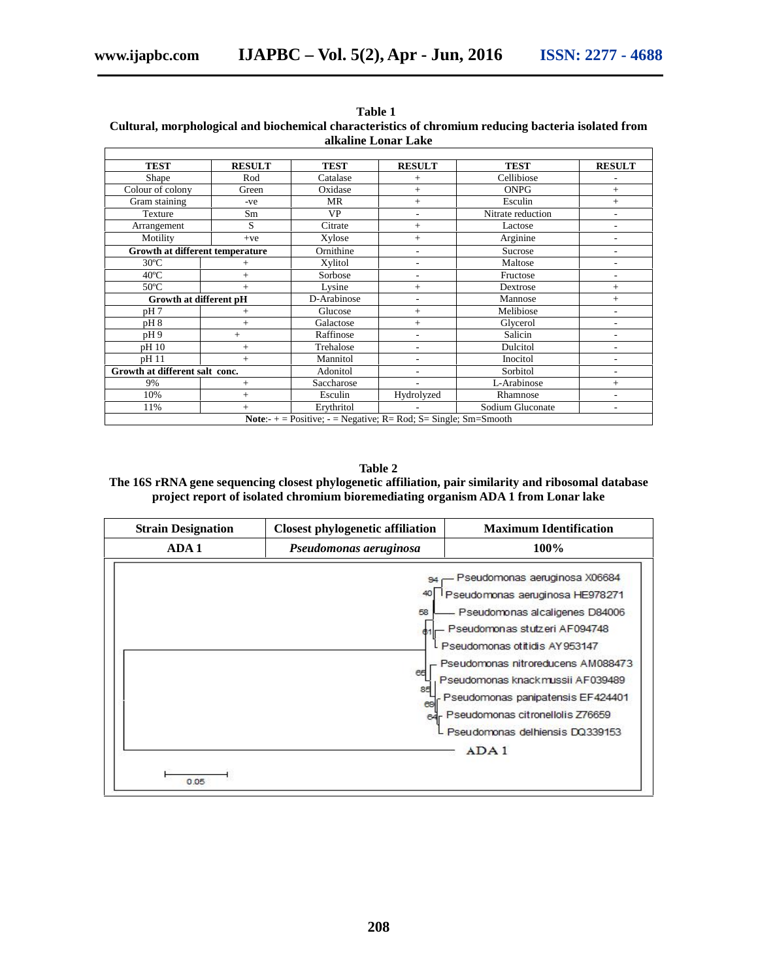| <b>TEST</b>                     | <b>RESULT</b>  | <b>TEST</b>                                                               | <b>RESULT</b>            | <b>TEST</b>       | <b>RESULT</b>            |
|---------------------------------|----------------|---------------------------------------------------------------------------|--------------------------|-------------------|--------------------------|
| Shape                           | Rod            | Catalase                                                                  | $^{+}$                   | Cellibiose        |                          |
| Colour of colony                | Green          | Oxidase                                                                   | $^{+}$                   | <b>ONPG</b>       | $^{+}$                   |
| Gram staining                   | $-ve$          | <b>MR</b>                                                                 | $^{+}$                   | Esculin           | $^{+}$                   |
| Texture                         | Sm             | VP                                                                        | $\overline{\phantom{a}}$ | Nitrate reduction | ۰                        |
| Arrangement                     | S              | Citrate                                                                   | $^{+}$                   | Lactose           |                          |
| Motility                        | $+ve$          | Xylose                                                                    | $^{+}$                   | Arginine          | -                        |
| Growth at different temperature |                | Ornithine                                                                 | $\overline{a}$           | Sucrose           | ۰                        |
| $30^{\circ}$ C                  | $^+$           | Xylitol                                                                   | $\overline{\phantom{a}}$ | Maltose           | ۰                        |
| $40^{\circ}$ C                  | $^{+}$         | Sorbose                                                                   | ٠                        | Fructose          |                          |
| $50^{\circ}$ C                  | $+$            | Lysine                                                                    | $^{+}$                   | Dextrose          | $^{+}$                   |
| Growth at different pH          |                | D-Arabinose                                                               | $\overline{\phantom{a}}$ | Mannose           | $^{+}$                   |
| pH7                             | $\overline{+}$ | Glucose                                                                   | $^{+}$                   | Melibiose         |                          |
| pH8                             | $^{+}$         | Galactose                                                                 | $^{+}$                   | Glycerol          |                          |
| pH9                             | $+$            | Raffinose                                                                 | $\overline{a}$           | Salicin           |                          |
| pH 10                           | $^{+}$         | Trehalose                                                                 | ٠                        | Dulcitol          | $\overline{a}$           |
| pH 11                           | $+$            | Mannitol                                                                  | ٠                        | Inocitol          | ۰                        |
| Growth at different salt conc.  |                | Adonitol                                                                  | ٠                        | Sorbitol          |                          |
| 9%                              | $^{+}$         | Saccharose                                                                |                          | L-Arabinose       | $^{+}$                   |
| 10%                             | $^{+}$         | Esculin                                                                   | Hydrolyzed               | Rhamnose          | ٠                        |
| 11%                             | $^{+}$         | Erythritol                                                                |                          | Sodium Gluconate  | $\overline{\phantom{0}}$ |
|                                 |                | <b>Note:</b> $+$ = Positive; $-$ = Negative; R= Rod; S= Single; Sm=Smooth |                          |                   |                          |

#### **Table 1 Cultural, morphological and biochemical characteristics of chromium reducing bacteria isolated from alkaline Lonar Lake**

**Table 2**

**The 16S rRNA gene sequencing closest phylogenetic affiliation, pair similarity and ribosomal database project report of isolated chromium bioremediating organism ADA 1 from Lonar lake**

| <b>Strain Designation</b> | <b>Closest phylogenetic affiliation</b> | <b>Maximum Identification</b>                                                                                                                                                                                                                                                                                                                                          |  |
|---------------------------|-----------------------------------------|------------------------------------------------------------------------------------------------------------------------------------------------------------------------------------------------------------------------------------------------------------------------------------------------------------------------------------------------------------------------|--|
| ADA 1                     | Pseudomonas aeruginosa                  | 100%                                                                                                                                                                                                                                                                                                                                                                   |  |
| 0.05                      | 58<br>65<br>85<br>69<br>64              | Pseudomonas aeruginosa X06684<br>Pseudomonas aeruginosa HE978271<br>Pseudomonas alcaligenes D84006<br>Pseudomonas stutzeri AF094748<br>L Pseudomonas otitidis AY953147<br>Pseudomonas nitroreducens AM088473<br>Pseudomonas knackmussii AF039489<br>Pseudomonas panipatensis EF424401<br>Pseudomonas citronellolis Z76659<br>- Pseudomonas delhiensis DQ339153<br>ADA1 |  |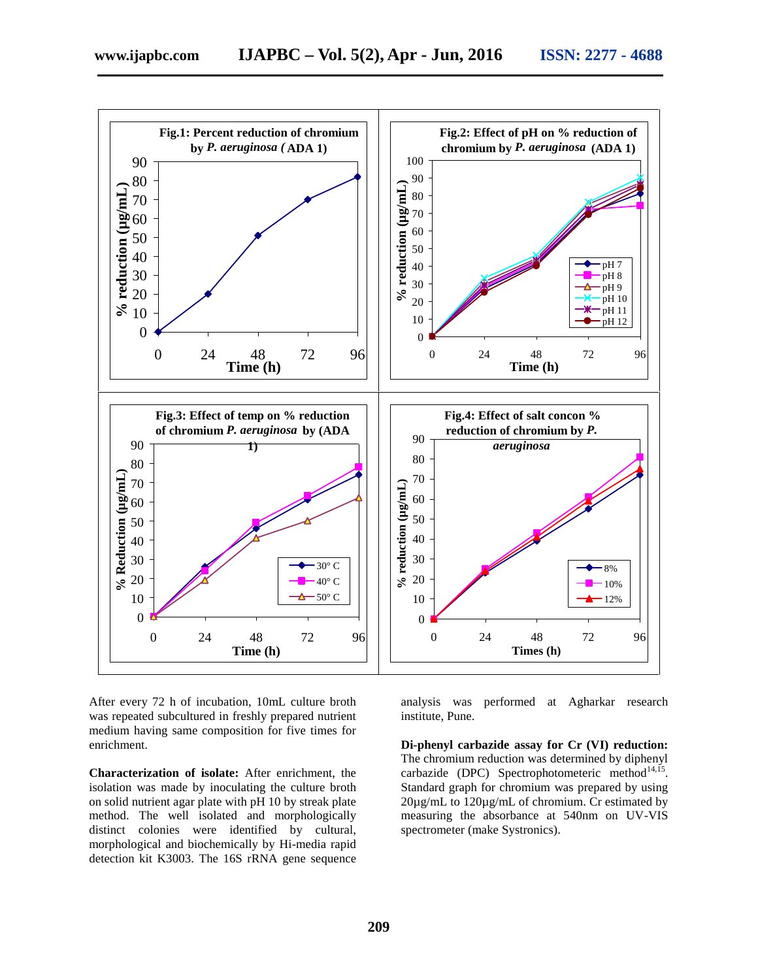

After every 72 h of incubation, 10mL culture broth analysis was was repeated subcultured in freshly prepared nutrient medium having same composition for five times for enrichment.

**Characterization of isolate:** After enrichment, the isolation was made by inoculating the culture broth on solid nutrient agar plate with pH 10 by streak plate method. The well isolated and morphologically distinct colonies were identified by cultural, morphological and biochemically by Hi-media rapid detection kit K3003. The 16S rRNA gene sequence

performed at Agharkar research institute, Pune.

**Di-phenyl carbazide assay for Cr (VI) reduction:** The chromium reduction was determined by diphenyl carbazide (DPC) Spectrophotometeric method $14,15$ . Standard graph for chromium was prepared by using 20µg/mL to 120µg/mL of chromium. Cr estimated by measuring the absorbance at 540nm on UV-VIS spectrometer (make Systronics).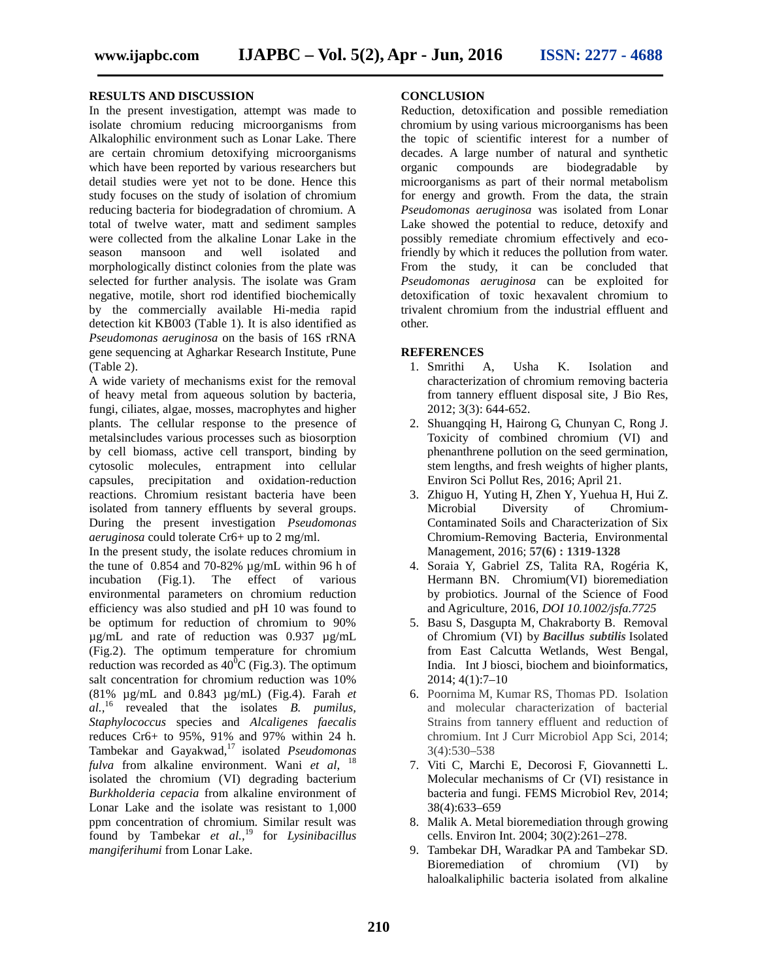#### **RESULTS AND DISCUSSION**

In the present investigation, attempt was made to isolate chromium reducing microorganisms from Alkalophilic environment such as Lonar Lake. There are certain chromium detoxifying microorganisms which have been reported by various researchers but detail studies were yet not to be done. Hence this study focuses on the study of isolation of chromium reducing bacteria for biodegradation of chromium. A total of twelve water, matt and sediment samples were collected from the alkaline Lonar Lake in the season mansoon and well isolated and morphologically distinct colonies from the plate was selected for further analysis. The isolate was Gram negative, motile, short rod identified biochemically by the commercially available Hi-media rapid detection kit KB003 (Table 1). It is also identified as *Pseudomonas aeruginosa* on the basis of 16S rRNA gene sequencing at Agharkar Research Institute, Pune (Table 2).

A wide variety of mechanisms exist for the removal of heavy metal from aqueous solution by bacteria, fungi, ciliates, algae, mosses, macrophytes and higher plants. The cellular response to the presence of metalsincludes various processes such as biosorption by cell biomass, active cell transport, binding by cytosolic molecules, entrapment into cellular capsules, precipitation and oxidation-reduction reactions. Chromium resistant bacteria have been isolated from tannery effluents by several groups. During the present investigation *Pseudomonas aeruginosa* could tolerate Cr6+ up to 2 mg/ml.

In the present study, the isolate reduces chromium in the tune of 0.854 and 70-82% µg/mL within 96 h of incubation (Fig.1). The effect of various environmental parameters on chromium reduction efficiency was also studied and pH 10 was found to be optimum for reduction of chromium to 90% µg/mL and rate of reduction was 0.937 µg/mL (Fig.2). The optimum temperature for chromium reduction was recorded as  $40^{\circ}$ C (Fig.3). The optimum salt concentration for chromium reduction was 10% (81% µg/mL and 0.843 µg/mL) (Fig.4). Farah *et al.,*<sup>16</sup> revealed that the isolates *B. pumilus, Staphylococcus* species and *Alcaligenes faecalis* reduces Cr6+ to 95%, 91% and 97% within 24 h. Tambekar and Gayakwad,<sup>17</sup> isolated *Pseudomonas fulva* from alkaline environment. Wani *et al*, <sup>18</sup> isolated the chromium (VI) degrading bacterium *Burkholderia cepacia* from alkaline environment of Lonar Lake and the isolate was resistant to 1,000 ppm concentration of chromium. Similar result was found by Tambekar *et al.,*<sup>19</sup> for *Lysinibacillus mangiferihumi* from Lonar Lake.

#### **CONCLUSION**

Reduction, detoxification and possible remediation chromium by using various microorganisms has been the topic of scientific interest for a number of decades. A large number of natural and synthetic organic compounds are biodegradable by microorganisms as part of their normal metabolism for energy and growth. From the data, the strain *Pseudomonas aeruginosa* was isolated from Lonar Lake showed the potential to reduce, detoxify and possibly remediate chromium effectively and ecofriendly by which it reduces the pollution from water. From the study, it can be concluded that *Pseudomonas aeruginosa* can be exploited for detoxification of toxic hexavalent chromium to trivalent chromium from the industrial effluent and other.

#### **REFERENCES**

- 1. Smrithi A, Usha K. Isolation and characterization of chromium removing bacteria from tannery effluent disposal site, J Bio Res, 2012; 3(3): 644-652.
- 2. Shuangqing H, Hairong G, Chunyan C, Rong J. Toxicity of combined chromium (VI) and phenanthrene pollution on the seed germination, stem lengths, and fresh weights of higher plants, Environ Sci Pollut Res, 2016; April 21.
- 3. Zhiguo H, Yuting H, Zhen Y, Yuehua H, Hui Z. Microbial Diversity of Chromium- Contaminated Soils and Characterization of Six Chromium-Removing Bacteria, Environmental Management, 2016; **57(6) : 1319-1328**
- 4. Soraia Y, Gabriel ZS, Talita RA, Rogéria K, Hermann BN. Chromium(VI) bioremediation by probiotics. Journal of the Science of Food and Agriculture, 2016, *DOI 10.1002/jsfa.7725*
- 5. Basu S, Dasgupta M, Chakraborty B. Removal of Chromium (VI) by *Bacillus subtilis* Isolated from East Calcutta Wetlands, West Bengal, India. Int J biosci, biochem and bioinformatics, 2014; 4(1):7–10
- 6. Poornima M, Kumar RS, Thomas PD. Isolation and molecular characterization of bacterial Strains from tannery effluent and reduction of chromium. Int J Curr Microbiol App Sci, 2014; 3(4):530–538
- 7. Viti C, Marchi E, Decorosi F, Giovannetti L. Molecular mechanisms of Cr (VI) resistance in bacteria and fungi. FEMS Microbiol Rev, 2014; 38(4):633–659
- 8. Malik A. Metal bioremediation through growing cells. Environ Int. 2004; 30(2):261–278.
- 9. Tambekar DH, Waradkar PA and Tambekar SD. Bioremediation of chromium (VI) by haloalkaliphilic bacteria isolated from alkaline